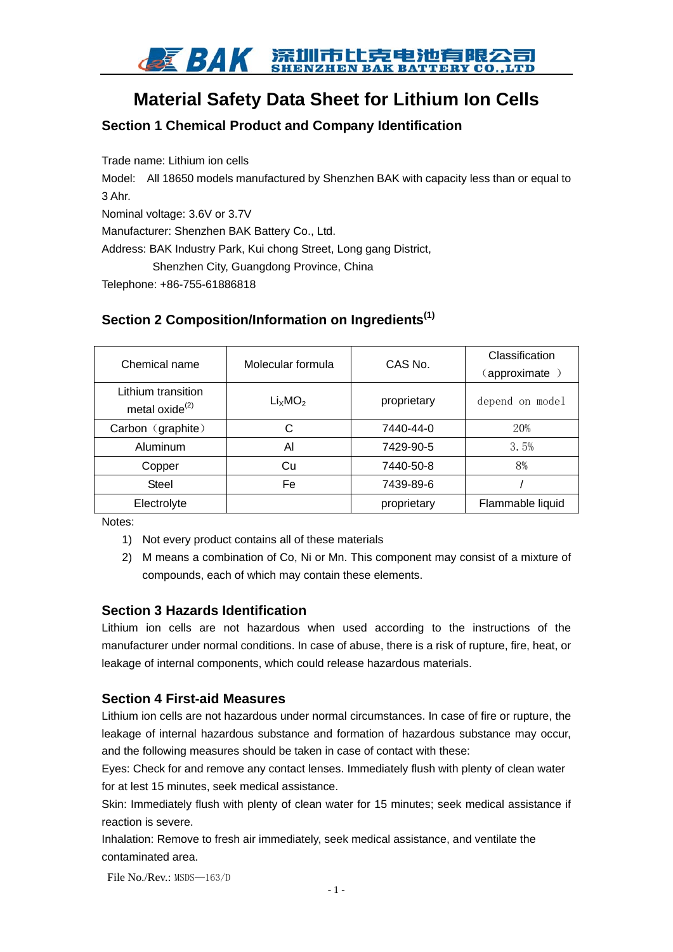

# **Material Safety Data Sheet for Lithium Ion Cells**

# **Section 1 Chemical Product and Company Identification**

Trade name: Lithium ion cells Model: All 18650 models manufactured by Shenzhen BAK with capacity less than or equal to 3 Ahr. Nominal voltage: 3.6V or 3.7V Manufacturer: Shenzhen BAK Battery Co., Ltd. Address: BAK Industry Park, Kui chong Street, Long gang District, Shenzhen City, Guangdong Province, China Telephone: +86-755-61886818

# **Section 2 Composition/Information on Ingredients(1)**

| Chemical name                              | Molecular formula               | CAS No.     | Classification<br>(approximate) |  |
|--------------------------------------------|---------------------------------|-------------|---------------------------------|--|
| Lithium transition<br>metal oxide $^{(2)}$ | Li <sub>x</sub> MO <sub>2</sub> | proprietary | depend on model                 |  |
| Carbon (graphite)                          | С                               | 7440-44-0   | 20%                             |  |
| Aluminum                                   | AI                              | 7429-90-5   | 3.5%                            |  |
| Copper                                     | Cu                              | 7440-50-8   | 8%                              |  |
| <b>Steel</b>                               | Fe                              | 7439-89-6   |                                 |  |
| Electrolyte                                |                                 | proprietary | Flammable liquid                |  |

Notes:

- 1) Not every product contains all of these materials
- 2) M means a combination of Co, Ni or Mn. This component may consist of a mixture of compounds, each of which may contain these elements.

#### **Section 3 Hazards Identification**

Lithium ion cells are not hazardous when used according to the instructions of the manufacturer under normal conditions. In case of abuse, there is a risk of rupture, fire, heat, or leakage of internal components, which could release hazardous materials.

#### **Section 4 First-aid Measures**

Lithium ion cells are not hazardous under normal circumstances. In case of fire or rupture, the leakage of internal hazardous substance and formation of hazardous substance may occur, and the following measures should be taken in case of contact with these:

Eyes: Check for and remove any contact lenses. Immediately flush with plenty of clean water for at lest 15 minutes, seek medical assistance.

Skin: Immediately flush with plenty of clean water for 15 minutes; seek medical assistance if reaction is severe.

Inhalation: Remove to fresh air immediately, seek medical assistance, and ventilate the contaminated area.

File  $No$  /Rev.: MSDS—163/D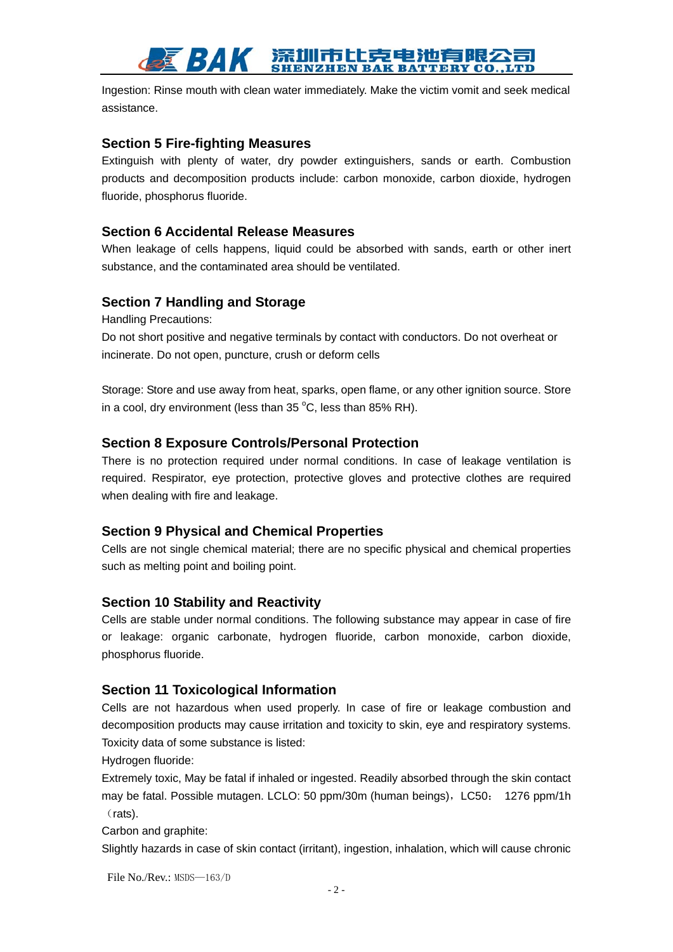# 深圳市比克电池有限公 **ENZHEN BAK BATTERY CO., LTD**

Ingestion: Rinse mouth with clean water immediately. Make the victim vomit and seek medical assistance.

#### **Section 5 Fire-fighting Measures**

Extinguish with plenty of water, dry powder extinguishers, sands or earth. Combustion products and decomposition products include: carbon monoxide, carbon dioxide, hydrogen fluoride, phosphorus fluoride.

#### **Section 6 Accidental Release Measures**

When leakage of cells happens, liquid could be absorbed with sands, earth or other inert substance, and the contaminated area should be ventilated.

### **Section 7 Handling and Storage**

Handling Precautions:

Do not short positive and negative terminals by contact with conductors. Do not overheat or incinerate. Do not open, puncture, crush or deform cells

Storage: Store and use away from heat, sparks, open flame, or any other ignition source. Store in a cool, dry environment (less than 35 $^{\circ}$ C, less than 85% RH).

#### **Section 8 Exposure Controls/Personal Protection**

There is no protection required under normal conditions. In case of leakage ventilation is required. Respirator, eye protection, protective gloves and protective clothes are required when dealing with fire and leakage.

#### **Section 9 Physical and Chemical Properties**

Cells are not single chemical material; there are no specific physical and chemical properties such as melting point and boiling point.

#### **Section 10 Stability and Reactivity**

Cells are stable under normal conditions. The following substance may appear in case of fire or leakage: organic carbonate, hydrogen fluoride, carbon monoxide, carbon dioxide, phosphorus fluoride.

#### **Section 11 Toxicological Information**

Cells are not hazardous when used properly. In case of fire or leakage combustion and decomposition products may cause irritation and toxicity to skin, eye and respiratory systems. Toxicity data of some substance is listed:

Hydrogen fluoride:

Extremely toxic, May be fatal if inhaled or ingested. Readily absorbed through the skin contact may be fatal. Possible mutagen. LCLO: 50 ppm/30m (human beings), LC50: 1276 ppm/1h (rats).

Carbon and graphite:

Slightly hazards in case of skin contact (irritant), ingestion, inhalation, which will cause chronic

File No./Rev.: MSDS—163/D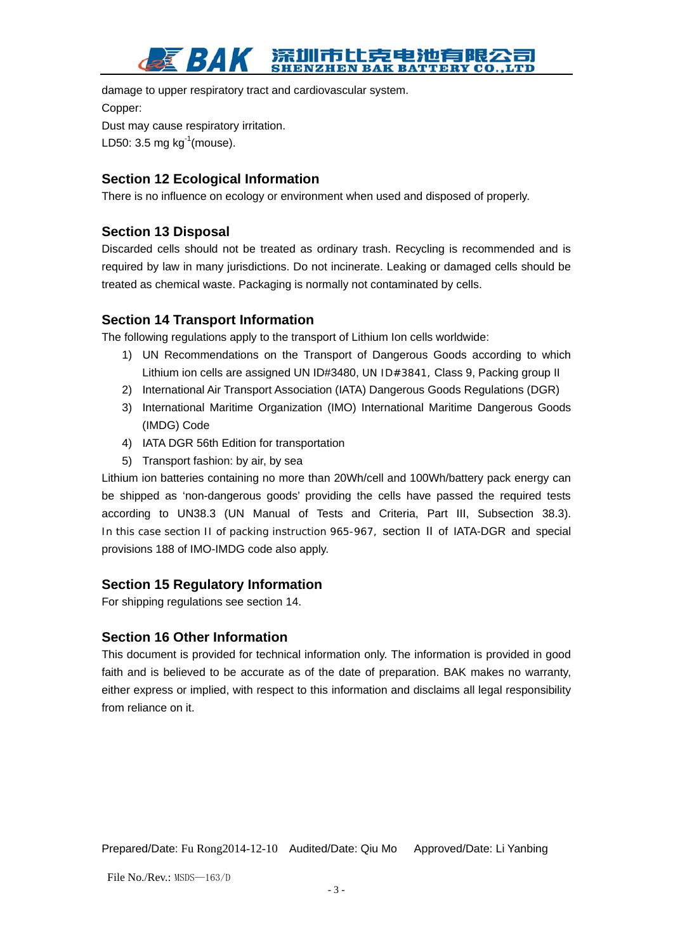#### 市比克电池有限公 BAK **ENZHEN BAK BATTERY CO., LTD**

damage to upper respiratory tract and cardiovascular system. Copper: Dust may cause respiratory irritation. LD50: 3.5 mg  $kg^{-1}$ (mouse).

# **Section 12 Ecological Information**

There is no influence on ecology or environment when used and disposed of properly.

# **Section 13 Disposal**

Discarded cells should not be treated as ordinary trash. Recycling is recommended and is required by law in many jurisdictions. Do not incinerate. Leaking or damaged cells should be treated as chemical waste. Packaging is normally not contaminated by cells.

# **Section 14 Transport Information**

The following regulations apply to the transport of Lithium Ion cells worldwide:

- 1) UN Recommendations on the Transport of Dangerous Goods according to which Lithium ion cells are assigned UN ID#3480, UN ID#3841, Class 9, Packing group II
- 2) International Air Transport Association (IATA) Dangerous Goods Regulations (DGR)
- 3) International Maritime Organization (IMO) International Maritime Dangerous Goods (IMDG) Code
- 4) IATA DGR 56th Edition for transportation
- 5) Transport fashion: by air, by sea

Lithium ion batteries containing no more than 20Wh/cell and 100Wh/battery pack energy can be shipped as 'non-dangerous goods' providing the cells have passed the required tests according to UN38.3 (UN Manual of Tests and Criteria, Part III, Subsection 38.3). In this case section II of packing instruction 965-967, section II of IATA-DGR and special provisions 188 of IMO-IMDG code also apply.

# **Section 15 Regulatory Information**

For shipping regulations see section 14.

### **Section 16 Other Information**

This document is provided for technical information only. The information is provided in good faith and is believed to be accurate as of the date of preparation. BAK makes no warranty, either express or implied, with respect to this information and disclaims all legal responsibility from reliance on it.